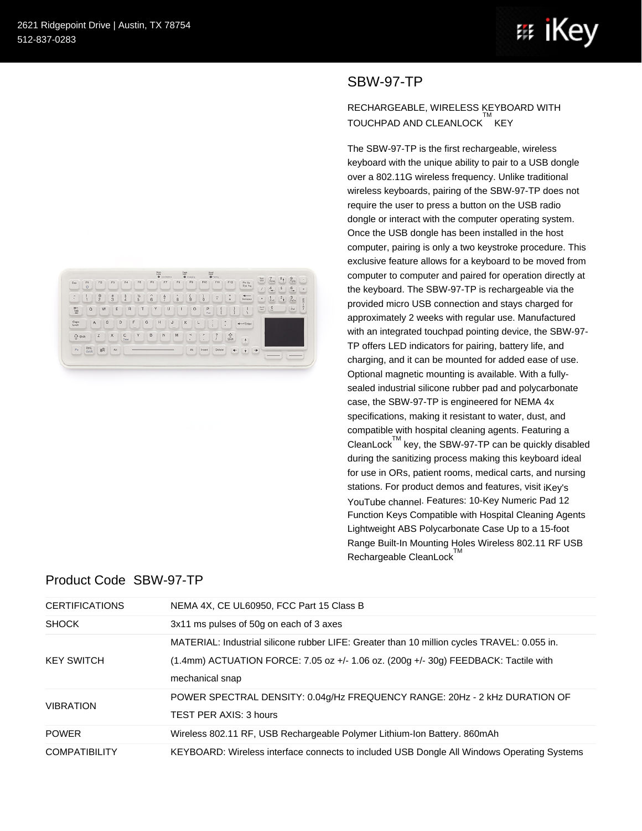



## RECHARGEABLE, WIRELESS KEYBOARD WITH TOUCHPAD AND CLEANLOCK KEY

The SBW-97-TP is the first rechargeable, wireless keyboard with the unique ability to pair to a USB dongle over a 802.11G wireless frequency. Unlike traditional wireless keyboards, pairing of the SBW-97-TP does not require the user to press a button on the USB radio dongle or interact with the computer operating system. Once the USB dongle has been installed in the host computer, pairing is only a two keystroke procedure. This exclusive feature allows for a keyboard to be moved from computer to computer and paired for operation directly at the keyboard. The SBW-97-TP is rechargeable via the provided micro USB connection and stays charged for approximately 2 weeks with regular use. Manufactured with an integrated touchpad pointing device, the SBW-97- TP offers LED indicators for pairing, battery life, and charging, and it can be mounted for added ease of use. Optional magnetic mounting is available. With a fullysealed industrial silicone rubber pad and polycarbonate case, the SBW-97-TP is engineered for NEMA 4x specifications, making it resistant to water, dust, and compatible with hospital cleaning agents. Featuring a CleanLock $\mathbb{M}$  key, the SBW-97-TP can be quickly disabled during the sanitizing process making this keyboard ideal for use in ORs, patient rooms, medical carts, and nursing stations. For product demos and features, visit iKey's [YouTube channel](http://youtu.be/-W-fG9zIdfk). Features: 10-Key Numeric Pad 12 Function Keys Compatible with Hospital Cleaning Agents Lightweight ABS Polycarbonate Case Up to a 15-foot Range Built-In Mounting Holes Wireless 802.11 RF USB Rechargeable CleanLock<sup>™</sup>

| Esc                     | F1           | F2                  | F3          | F4                    | FS.                                | F6     | F7            | $\overbrace{\bullet}^{\text{Natt}}_{\text{Lustelley}}$<br>F8 | $0$ Owing<br>F9 | F10         | $\frac{1000}{9}$<br>F11  | F12                          | Prt Sc<br>Sys Rq        | Num<br>Leck                      | $\frac{7}{2}$  | $\mathbf{8}_{4}$<br>$\frac{9}{r_{\text{p},\text{b}}}$ | ٠             |
|-------------------------|--------------|---------------------|-------------|-----------------------|------------------------------------|--------|---------------|--------------------------------------------------------------|-----------------|-------------|--------------------------|------------------------------|-------------------------|----------------------------------|----------------|-------------------------------------------------------|---------------|
|                         | $\circ$      |                     |             |                       |                                    |        |               |                                                              |                 |             |                          |                              |                         |                                  | 4<br>۰         | 5<br>6                                                |               |
| $\sim$<br>$\mathcal{L}$ | ٠            | G<br>$\overline{c}$ | $rac{1}{3}$ | å S                   | $\frac{\%}{5}$                     | ٨<br>6 | $\frac{8}{7}$ | ٠<br>8                                                       | $\overline{9}$  | ó           | $\sim$<br>$\blacksquare$ | ٠<br>×                       | $\leftarrow$<br>Вилиние | ٠                                | $\frac{1}{2}$  | $2_{1}$<br>$\frac{3}{r_{\text{p}}\odot n}$            | $\frac{E}{n}$ |
| $\frac{12.7}{3}$        | $\Omega$     | W                   | E           | $\mathbb{R}$          | т                                  | Y      | $\cup$        |                                                              | $\circ$         | P<br>Pair   |                          |                              |                         | $\frac{\text{Boul}}{\text{LMA}}$ | $\overline{a}$ | $\sim$<br>Del                                         |               |
| Caps<br>Lock            | $\mathsf{A}$ | s                   |             | D                     | G<br>F<br>$\overline{\phantom{a}}$ |        | H             | J<br>$\sim$                                                  | ĸ               | ŝ<br>L<br>× |                          | $\rightarrow$<br>×           | $\leftarrow$ Enter      |                                  |                |                                                       |               |
| $\hat{U}$ shift         |              | $\mathbb Z$         | $\times$    | $\mathbf{C}$<br>Clean | V                                  | B      | $\mathbb N$   | M                                                            | $\,<$<br>×      | $\geq$<br>٠ | $\overline{2}$           | $\frac{\Omega}{\sin \theta}$ | Ą                       |                                  |                |                                                       |               |
| Fn                      | OHA          | 8 <sup>B</sup>      | Alt         |                       |                                    |        |               |                                                              | At              | Insert      | Delete                   | $\leftarrow$                 | $\rightarrow$<br>۰      |                                  |                |                                                       |               |

## Product Code SBW-97-TP

| <b>CERTIFICATIONS</b> | NEMA 4X, CE UL60950, FCC Part 15 Class B                                                    |
|-----------------------|---------------------------------------------------------------------------------------------|
| <b>SHOCK</b>          | 3x11 ms pulses of 50g on each of 3 axes                                                     |
|                       | MATERIAL: Industrial silicone rubber LIFE: Greater than 10 million cycles TRAVEL: 0.055 in. |
| <b>KEY SWITCH</b>     | $(1.4$ mm) ACTUATION FORCE: 7.05 oz +/- 1.06 oz. $(200g +/30g)$ FEEDBACK: Tactile with      |
|                       | mechanical snap                                                                             |
| <b>VIBRATION</b>      | POWER SPECTRAL DENSITY: 0.04g/Hz FREQUENCY RANGE: 20Hz - 2 KHz DURATION OF                  |
|                       | TEST PER AXIS: 3 hours                                                                      |
| <b>POWER</b>          | Wireless 802.11 RF, USB Rechargeable Polymer Lithium-Ion Battery. 860mAh                    |
| <b>COMPATIBILITY</b>  | KEYBOARD: Wireless interface connects to included USB Dongle All Windows Operating Systems  |